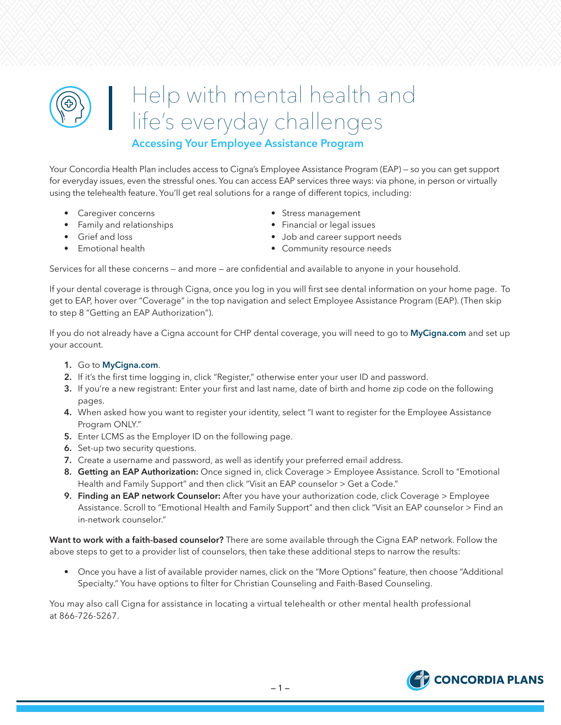# Help with mental health and life's everyday challenges

# **Accessing Your Employee Assistance Program**

Your Concordia Health Plan includes access to Cigna's Employee Assistance Program (EAP) — so you can get support for everyday issues, even the stressful ones. You can access EAP services three ways: via phone, in person or virtually using the telehealth feature. You'll get real solutions for a range of different topics, including:

- 
- Family and relationships Financial or legal issues
- 
- 
- Caregiver concerns extended to the Stress management
	-
- Grief and loss  **Job and career support needs**
- Emotional health **•** Community resource needs

Services for all these concerns — and more — are confidential and available to anyone in your household.

If your dental coverage is through Cigna, once you log in you will first see dental information on your home page. To get to EAP, hover over "Coverage" in the top navigation and select Employee Assistance Program (EAP). (Then skip to step 8 "Getting an EAP Authorization").

If you do not already have a Cigna account for CHP dental coverage, you will need to go to **MyCigna.com** and set up your account.

- **1.** Go to **MyCigna.com**.
- **2.** If it's the first time logging in, click "Register," otherwise enter your user ID and password.
- **3.** If you're a new registrant: Enter your first and last name, date of birth and home zip code on the following pages.
- **4.** When asked how you want to register your identity, select "I want to register for the Employee Assistance Program ONLY."
- **5.** Enter LCMS as the Employer ID on the following page.
- **6.** Set-up two security questions.
- **7.** Create a username and password, as well as identify your preferred email address.
- **8. Getting an EAP Authorization:** Once signed in, click Coverage > Employee Assistance. Scroll to "Emotional Health and Family Support" and then click "Visit an EAP counselor > Get a Code."
- **9. Finding an EAP network Counselor:** After you have your authorization code, click Coverage > Employee Assistance. Scroll to "Emotional Health and Family Support" and then click "Visit an EAP counselor > Find an in-network counselor."

**Want to work with a faith-based counselor?** There are some available through the Cigna EAP network. Follow the above steps to get to a provider list of counselors, then take these additional steps to narrow the results:

• Once you have a list of available provider names, click on the "More Options" feature, then choose "Additional Specialty." You have options to filter for Christian Counseling and Faith-Based Counseling.

You may also call Cigna for assistance in locating a virtual telehealth or other mental health professional at 866-726-5267.